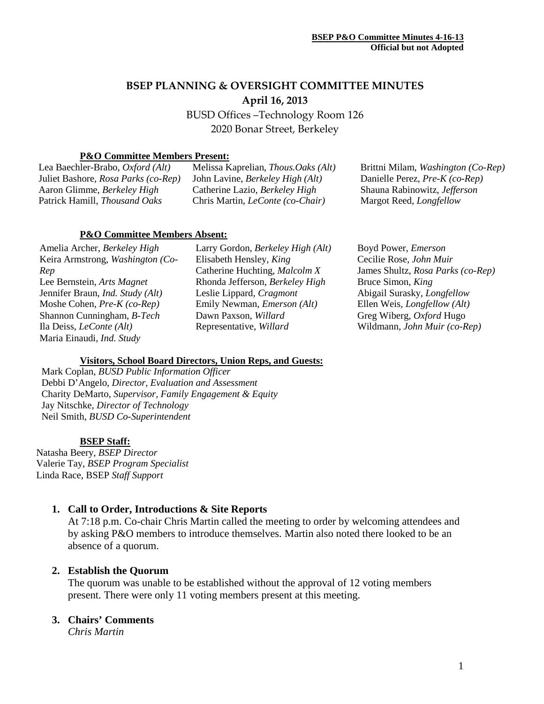# **BSEP PLANNING & OVERSIGHT COMMITTEE MINUTES April 16, 2013**

BUSD Offices –Technology Room 126 2020 Bonar Street, Berkeley

## **P&O Committee Members Present:**

Lea Baechler-Brabo, *Oxford (Alt)* Juliet Bashore, *Rosa Parks (co-Rep)* Aaron Glimme, *Berkeley High* Patrick Hamill, *Thousand Oaks*

Melissa Kaprelian, *Thous.Oaks (Alt)* John Lavine, *Berkeley High (Alt)* Catherine Lazio, *Berkeley High* Chris Martin, *LeConte (co-Chair)*

Brittni Milam, *Washington (Co-Rep)* Danielle Perez, *Pre-K (co-Rep)* Shauna Rabinowitz, *Jefferson* Margot Reed, *Longfellow*

### **P&O Committee Members Absent:**

Amelia Archer, *Berkeley High* Keira Armstrong, *Washington (Co-Rep* Lee Bernstein, *Arts Magnet* Jennifer Braun, *Ind. Study (Alt)* Moshe Cohen, *Pre-K (co-Rep)* Shannon Cunningham, *B-Tech* Ila Deiss, *LeConte (Alt)* Maria Einaudi, *Ind. Study*

Larry Gordon, *Berkeley High (Alt)* Elisabeth Hensley*, King* Catherine Huchting, *Malcolm X* Rhonda Jefferson, *Berkeley High* Leslie Lippard, *Cragmont* Emily Newman, *Emerson (Alt)* Dawn Paxson, *Willard* Representative, *Willard*

Boyd Power, *Emerson* Cecilie Rose, *John Muir* James Shultz, *Rosa Parks (co-Rep)* Bruce Simon, *King* Abigail Surasky, *Longfellow* Ellen Weis, *Longfellow (Alt)* Greg Wiberg, *Oxford* Hugo Wildmann*, John Muir (co-Rep)*

### **Visitors, School Board Directors, Union Reps, and Guests:**

Mark Coplan, *BUSD Public Information Officer* Debbi D'Angelo, *Director, Evaluation and Assessment* Charity DeMarto, *Supervisor, Family Engagement & Equity* Jay Nitschke, *Director of Technology* Neil Smith, *BUSD Co-Superintendent*

### **BSEP Staff:**

Natasha Beery, *BSEP Director* Valerie Tay, *BSEP Program Specialist* Linda Race, BSEP *Staff Support*

## **1. Call to Order, Introductions & Site Reports**

At 7:18 p.m. Co-chair Chris Martin called the meeting to order by welcoming attendees and by asking P&O members to introduce themselves. Martin also noted there looked to be an absence of a quorum.

## **2. Establish the Quorum**

The quorum was unable to be established without the approval of 12 voting members present. There were only 11 voting members present at this meeting.

## **3. Chairs' Comments**

*Chris Martin*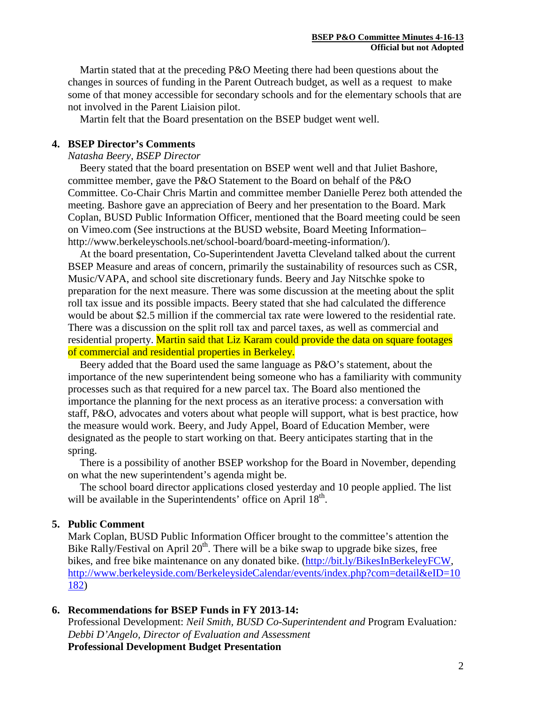Martin stated that at the preceding P&O Meeting there had been questions about the changes in sources of funding in the Parent Outreach budget, as well as a request to make some of that money accessible for secondary schools and for the elementary schools that are not involved in the Parent Liaision pilot.

Martin felt that the Board presentation on the BSEP budget went well.

#### **4. BSEP Director's Comments**

#### *Natasha Beery, BSEP Director*

Beery stated that the board presentation on BSEP went well and that Juliet Bashore, committee member, gave the P&O Statement to the Board on behalf of the P&O Committee. Co-Chair Chris Martin and committee member Danielle Perez both attended the meeting. Bashore gave an appreciation of Beery and her presentation to the Board. Mark Coplan, BUSD Public Information Officer, mentioned that the Board meeting could be seen on Vimeo.com (See instructions at the BUSD website, Board Meeting Information– http://www.berkeleyschools.net/school-board/board-meeting-information/).

At the board presentation, Co-Superintendent Javetta Cleveland talked about the current BSEP Measure and areas of concern, primarily the sustainability of resources such as CSR, Music/VAPA, and school site discretionary funds. Beery and Jay Nitschke spoke to preparation for the next measure. There was some discussion at the meeting about the split roll tax issue and its possible impacts. Beery stated that she had calculated the difference would be about \$2.5 million if the commercial tax rate were lowered to the residential rate. There was a discussion on the split roll tax and parcel taxes, as well as commercial and residential property. Martin said that Liz Karam could provide the data on square footages of commercial and residential properties in Berkeley.

Beery added that the Board used the same language as P&O's statement, about the importance of the new superintendent being someone who has a familiarity with community processes such as that required for a new parcel tax. The Board also mentioned the importance the planning for the next process as an iterative process: a conversation with staff, P&O, advocates and voters about what people will support, what is best practice, how the measure would work. Beery, and Judy Appel, Board of Education Member, were designated as the people to start working on that. Beery anticipates starting that in the spring.

There is a possibility of another BSEP workshop for the Board in November, depending on what the new superintendent's agenda might be.

The school board director applications closed yesterday and 10 people applied. The list will be available in the Superintendents' office on April  $18<sup>th</sup>$ .

#### **5. Public Comment**

Mark Coplan, BUSD Public Information Officer brought to the committee's attention the Bike Rally/Festival on April  $20<sup>th</sup>$ . There will be a bike swap to upgrade bike sizes, free bikes, and free bike maintenance on any donated bike. [\(http://bit.ly/BikesInBerkeleyFCW,](http://bit.ly/BikesInBerkeleyFCW) [http://www.berkeleyside.com/BerkeleysideCalendar/events/index.php?com=detail&eID=10](http://www.berkeleyside.com/BerkeleysideCalendar/events/index.php?com=detail&eID=10182) [182\)](http://www.berkeleyside.com/BerkeleysideCalendar/events/index.php?com=detail&eID=10182)

#### **6. Recommendations for BSEP Funds in FY 2013-14:**

Professional Development: *Neil Smith, BUSD Co-Superintendent and* Program Evaluation*: Debbi D'Angelo, Director of Evaluation and Assessment* **Professional Development Budget Presentation**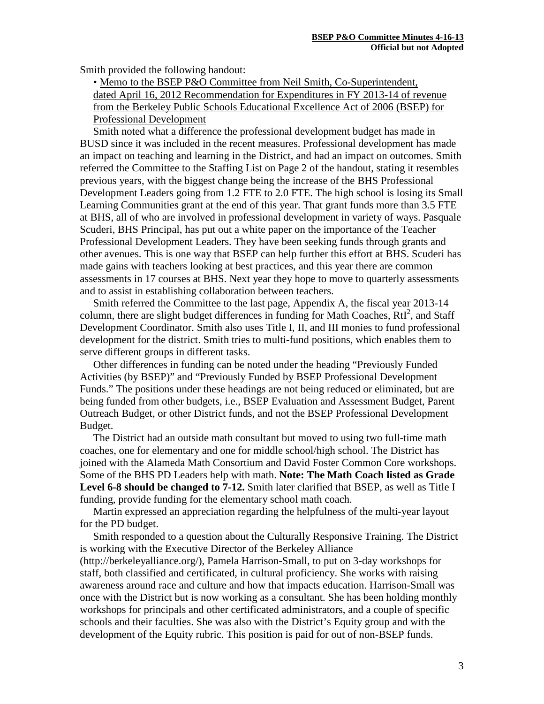Smith provided the following handout:

 • Memo to the BSEP P&O Committee from Neil Smith, Co-Superintendent, dated April 16, 2012 Recommendation for Expenditures in FY 2013-14 of revenue from the Berkeley Public Schools Educational Excellence Act of 2006 (BSEP) for Professional Development

Smith noted what a difference the professional development budget has made in BUSD since it was included in the recent measures. Professional development has made an impact on teaching and learning in the District, and had an impact on outcomes. Smith referred the Committee to the Staffing List on Page 2 of the handout, stating it resembles previous years, with the biggest change being the increase of the BHS Professional Development Leaders going from 1.2 FTE to 2.0 FTE. The high school is losing its Small Learning Communities grant at the end of this year. That grant funds more than 3.5 FTE at BHS, all of who are involved in professional development in variety of ways. Pasquale Scuderi, BHS Principal, has put out a white paper on the importance of the Teacher Professional Development Leaders. They have been seeking funds through grants and other avenues. This is one way that BSEP can help further this effort at BHS. Scuderi has made gains with teachers looking at best practices, and this year there are common assessments in 17 courses at BHS. Next year they hope to move to quarterly assessments and to assist in establishing collaboration between teachers.

Smith referred the Committee to the last page, Appendix A, the fiscal year 2013-14 column, there are slight budget differences in funding for Math Coaches,  $RtI<sup>2</sup>$ , and Staff Development Coordinator. Smith also uses Title I, II, and III monies to fund professional development for the district. Smith tries to multi-fund positions, which enables them to serve different groups in different tasks.

Other differences in funding can be noted under the heading "Previously Funded Activities (by BSEP)" and "Previously Funded by BSEP Professional Development Funds." The positions under these headings are not being reduced or eliminated, but are being funded from other budgets, i.e., BSEP Evaluation and Assessment Budget, Parent Outreach Budget, or other District funds, and not the BSEP Professional Development Budget.

The District had an outside math consultant but moved to using two full-time math coaches, one for elementary and one for middle school/high school. The District has joined with the Alameda Math Consortium and David Foster Common Core workshops. Some of the BHS PD Leaders help with math. **Note: The Math Coach listed as Grade Level 6-8 should be changed to 7-12.** Smith later clarified that BSEP, as well as Title I funding, provide funding for the elementary school math coach.

Martin expressed an appreciation regarding the helpfulness of the multi-year layout for the PD budget.

Smith responded to a question about the Culturally Responsive Training. The District is working with the Executive Director of the Berkeley Alliance

(http://berkeleyalliance.org/), Pamela Harrison-Small, to put on 3-day workshops for staff, both classified and certificated, in cultural proficiency. She works with raising awareness around race and culture and how that impacts education. Harrison-Small was once with the District but is now working as a consultant. She has been holding monthly workshops for principals and other certificated administrators, and a couple of specific schools and their faculties. She was also with the District's Equity group and with the development of the Equity rubric. This position is paid for out of non-BSEP funds.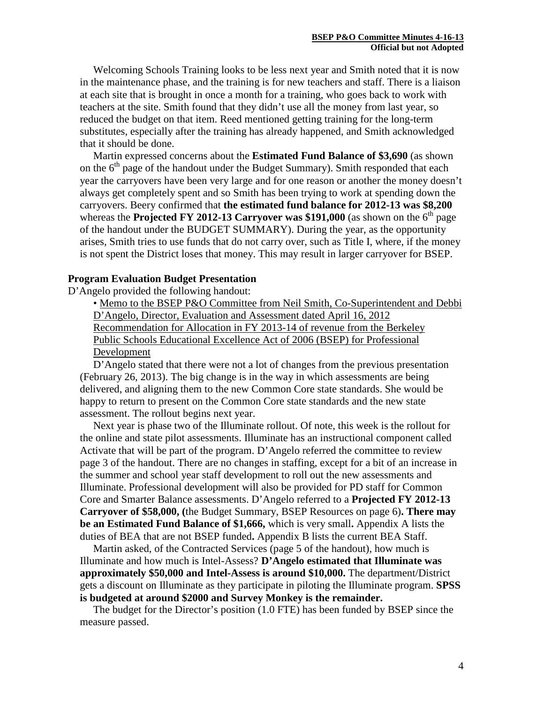Welcoming Schools Training looks to be less next year and Smith noted that it is now in the maintenance phase, and the training is for new teachers and staff. There is a liaison at each site that is brought in once a month for a training, who goes back to work with teachers at the site. Smith found that they didn't use all the money from last year, so reduced the budget on that item. Reed mentioned getting training for the long-term substitutes, especially after the training has already happened, and Smith acknowledged that it should be done.

Martin expressed concerns about the **Estimated Fund Balance of \$3,690** (as shown on the  $6<sup>th</sup>$  page of the handout under the Budget Summary). Smith responded that each year the carryovers have been very large and for one reason or another the money doesn't always get completely spent and so Smith has been trying to work at spending down the carryovers. Beery confirmed that **the estimated fund balance for 2012-13 was \$8,200** whereas the **Projected FY 2012-13 Carryover was \$191,000** (as shown on the  $6<sup>th</sup>$  page of the handout under the BUDGET SUMMARY). During the year, as the opportunity arises, Smith tries to use funds that do not carry over, such as Title I, where, if the money is not spent the District loses that money. This may result in larger carryover for BSEP.

#### **Program Evaluation Budget Presentation**

D'Angelo provided the following handout:

 • Memo to the BSEP P&O Committee from Neil Smith, Co-Superintendent and Debbi D'Angelo, Director, Evaluation and Assessment dated April 16, 2012 Recommendation for Allocation in FY 2013-14 of revenue from the Berkeley Public Schools Educational Excellence Act of 2006 (BSEP) for Professional Development

D'Angelo stated that there were not a lot of changes from the previous presentation (February 26, 2013). The big change is in the way in which assessments are being delivered, and aligning them to the new Common Core state standards. She would be happy to return to present on the Common Core state standards and the new state assessment. The rollout begins next year.

Next year is phase two of the Illuminate rollout. Of note, this week is the rollout for the online and state pilot assessments. Illuminate has an instructional component called Activate that will be part of the program. D'Angelo referred the committee to review page 3 of the handout. There are no changes in staffing, except for a bit of an increase in the summer and school year staff development to roll out the new assessments and Illuminate. Professional development will also be provided for PD staff for Common Core and Smarter Balance assessments. D'Angelo referred to a **Projected FY 2012-13 Carryover of \$58,000, (**the Budget Summary, BSEP Resources on page 6)**. There may be an Estimated Fund Balance of \$1,666,** which is very small**.** Appendix A lists the duties of BEA that are not BSEP funded**.** Appendix B lists the current BEA Staff.

Martin asked, of the Contracted Services (page 5 of the handout), how much is Illuminate and how much is Intel-Assess? **D'Angelo estimated that Illuminate was approximately \$50,000 and Intel-Assess is around \$10,000.** The department/District gets a discount on Illuminate as they participate in piloting the Illuminate program. **SPSS is budgeted at around \$2000 and Survey Monkey is the remainder.**

The budget for the Director's position (1.0 FTE) has been funded by BSEP since the measure passed.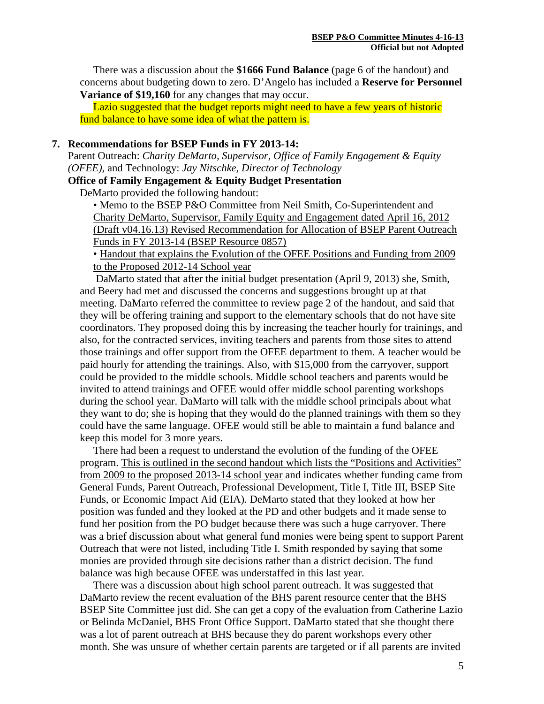There was a discussion about the **\$1666 Fund Balance** (page 6 of the handout) and concerns about budgeting down to zero. D'Angelo has included a **Reserve for Personnel Variance of \$19,160** for any changes that may occur.

Lazio suggested that the budget reports might need to have a few years of historic fund balance to have some idea of what the pattern is.

#### **7. Recommendations for BSEP Funds in FY 2013-14:**

Parent Outreach: *Charity DeMarto, Supervisor, Office of Family Engagement & Equity (OFEE),* and Technology: *Jay Nitschke, Director of Technology*

**Office of Family Engagement & Equity Budget Presentation**

DeMarto provided the following handout:

 • Memo to the BSEP P&O Committee from Neil Smith, Co-Superintendent and Charity DeMarto, Supervisor, Family Equity and Engagement dated April 16, 2012 (Draft v04.16.13) Revised Recommendation for Allocation of BSEP Parent Outreach Funds in FY 2013-14 (BSEP Resource 0857)

 • Handout that explains the Evolution of the OFEE Positions and Funding from 2009 to the Proposed 2012-14 School year

 DaMarto stated that after the initial budget presentation (April 9, 2013) she, Smith, and Beery had met and discussed the concerns and suggestions brought up at that meeting. DaMarto referred the committee to review page 2 of the handout, and said that they will be offering training and support to the elementary schools that do not have site coordinators. They proposed doing this by increasing the teacher hourly for trainings, and also, for the contracted services, inviting teachers and parents from those sites to attend those trainings and offer support from the OFEE department to them. A teacher would be paid hourly for attending the trainings. Also, with \$15,000 from the carryover, support could be provided to the middle schools. Middle school teachers and parents would be invited to attend trainings and OFEE would offer middle school parenting workshops during the school year. DaMarto will talk with the middle school principals about what they want to do; she is hoping that they would do the planned trainings with them so they could have the same language. OFEE would still be able to maintain a fund balance and keep this model for 3 more years.

 There had been a request to understand the evolution of the funding of the OFEE program. This is outlined in the second handout which lists the "Positions and Activities" from 2009 to the proposed 2013-14 school year and indicates whether funding came from General Funds, Parent Outreach, Professional Development, Title I, Title III, BSEP Site Funds, or Economic Impact Aid (EIA). DeMarto stated that they looked at how her position was funded and they looked at the PD and other budgets and it made sense to fund her position from the PO budget because there was such a huge carryover. There was a brief discussion about what general fund monies were being spent to support Parent Outreach that were not listed, including Title I. Smith responded by saying that some monies are provided through site decisions rather than a district decision. The fund balance was high because OFEE was understaffed in this last year.

 There was a discussion about high school parent outreach. It was suggested that DaMarto review the recent evaluation of the BHS parent resource center that the BHS BSEP Site Committee just did. She can get a copy of the evaluation from Catherine Lazio or Belinda McDaniel, BHS Front Office Support. DaMarto stated that she thought there was a lot of parent outreach at BHS because they do parent workshops every other month. She was unsure of whether certain parents are targeted or if all parents are invited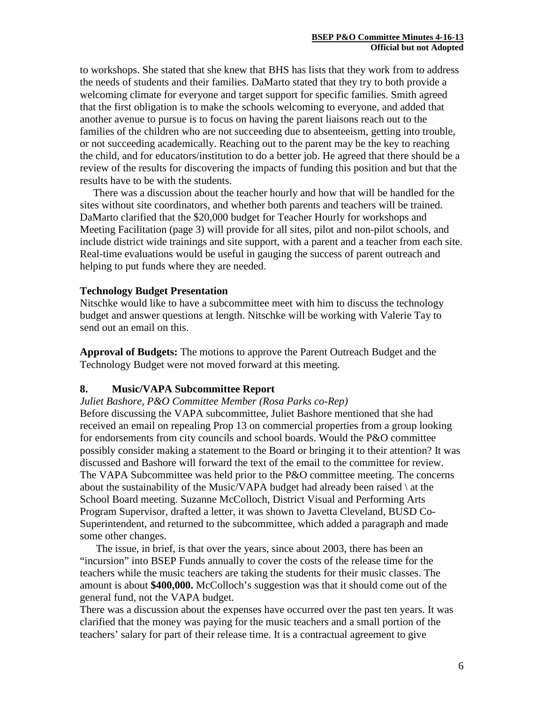to workshops. She stated that she knew that BHS has lists that they work from to address the needs of students and their families. DaMarto stated that they try to both provide a welcoming climate for everyone and target support for specific families. Smith agreed that the first obligation is to make the schools welcoming to everyone, and added that another avenue to pursue is to focus on having the parent liaisons reach out to the families of the children who are not succeeding due to absenteeism, getting into trouble, or not succeeding academically. Reaching out to the parent may be the key to reaching the child, and for educators/institution to do a better job. He agreed that there should be a review of the results for discovering the impacts of funding this position and but that the results have to be with the students.

 There was a discussion about the teacher hourly and how that will be handled for the sites without site coordinators, and whether both parents and teachers will be trained. DaMarto clarified that the \$20,000 budget for Teacher Hourly for workshops and Meeting Facilitation (page 3) will provide for all sites, pilot and non-pilot schools, and include district wide trainings and site support, with a parent and a teacher from each site. Real-time evaluations would be useful in gauging the success of parent outreach and helping to put funds where they are needed.

#### **Technology Budget Presentation**

Nitschke would like to have a subcommittee meet with him to discuss the technology budget and answer questions at length. Nitschke will be working with Valerie Tay to send out an email on this.

**Approval of Budgets:** The motions to approve the Parent Outreach Budget and the Technology Budget were not moved forward at this meeting.

### **8. Music/VAPA Subcommittee Report**

#### *Juliet Bashore, P&O Committee Member (Rosa Parks co-Rep)*

Before discussing the VAPA subcommittee, Juliet Bashore mentioned that she had received an email on repealing Prop 13 on commercial properties from a group looking for endorsements from city councils and school boards. Would the P&O committee possibly consider making a statement to the Board or bringing it to their attention? It was discussed and Bashore will forward the text of the email to the committee for review. The VAPA Subcommittee was held prior to the P&O committee meeting. The concerns about the sustainability of the Music/VAPA budget had already been raised \ at the School Board meeting. Suzanne McColloch, District Visual and Performing Arts Program Supervisor, drafted a letter, it was shown to Javetta Cleveland, BUSD Co-Superintendent, and returned to the subcommittee, which added a paragraph and made some other changes.

The issue, in brief, is that over the years, since about 2003, there has been an "incursion" into BSEP Funds annually to cover the costs of the release time for the teachers while the music teachers are taking the students for their music classes. The amount is about **\$400,000.** McColloch's suggestion was that it should come out of the general fund, not the VAPA budget.

There was a discussion about the expenses have occurred over the past ten years. It was clarified that the money was paying for the music teachers and a small portion of the teachers' salary for part of their release time. It is a contractual agreement to give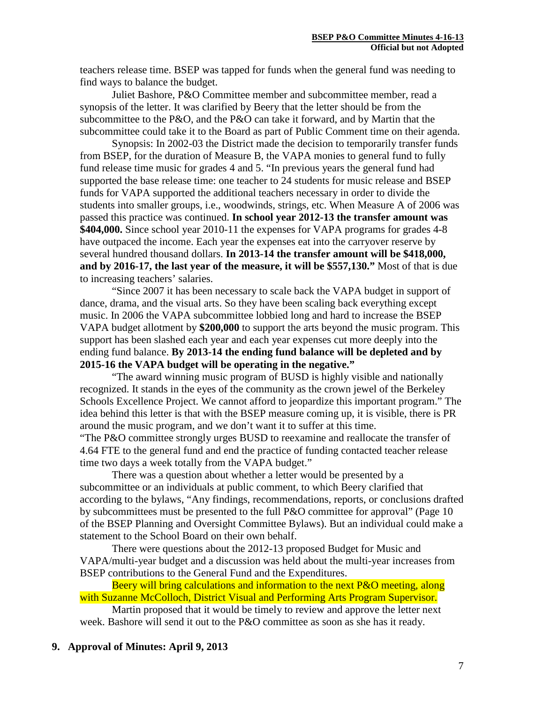teachers release time. BSEP was tapped for funds when the general fund was needing to find ways to balance the budget.

Juliet Bashore, P&O Committee member and subcommittee member, read a synopsis of the letter. It was clarified by Beery that the letter should be from the subcommittee to the P&O, and the P&O can take it forward, and by Martin that the subcommittee could take it to the Board as part of Public Comment time on their agenda.

Synopsis: In 2002-03 the District made the decision to temporarily transfer funds from BSEP, for the duration of Measure B, the VAPA monies to general fund to fully fund release time music for grades 4 and 5. "In previous years the general fund had supported the base release time: one teacher to 24 students for music release and BSEP funds for VAPA supported the additional teachers necessary in order to divide the students into smaller groups, i.e., woodwinds, strings, etc. When Measure A of 2006 was passed this practice was continued. **In school year 2012-13 the transfer amount was \$404,000.** Since school year 2010-11 the expenses for VAPA programs for grades 4-8 have outpaced the income. Each year the expenses eat into the carryover reserve by several hundred thousand dollars. **In 2013-14 the transfer amount will be \$418,000, and by 2016-17, the last year of the measure, it will be \$557,130."** Most of that is due to increasing teachers' salaries.

"Since 2007 it has been necessary to scale back the VAPA budget in support of dance, drama, and the visual arts. So they have been scaling back everything except music. In 2006 the VAPA subcommittee lobbied long and hard to increase the BSEP VAPA budget allotment by **\$200,000** to support the arts beyond the music program. This support has been slashed each year and each year expenses cut more deeply into the ending fund balance. **By 2013-14 the ending fund balance will be depleted and by 2015-16 the VAPA budget will be operating in the negative."**

"The award winning music program of BUSD is highly visible and nationally recognized. It stands in the eyes of the community as the crown jewel of the Berkeley Schools Excellence Project. We cannot afford to jeopardize this important program." The idea behind this letter is that with the BSEP measure coming up, it is visible, there is PR around the music program, and we don't want it to suffer at this time.

"The P&O committee strongly urges BUSD to reexamine and reallocate the transfer of 4.64 FTE to the general fund and end the practice of funding contacted teacher release time two days a week totally from the VAPA budget."

There was a question about whether a letter would be presented by a subcommittee or an individuals at public comment, to which Beery clarified that according to the bylaws, "Any findings, recommendations, reports, or conclusions drafted by subcommittees must be presented to the full P&O committee for approval" (Page 10 of the BSEP Planning and Oversight Committee Bylaws). But an individual could make a statement to the School Board on their own behalf.

There were questions about the 2012-13 proposed Budget for Music and VAPA/multi-year budget and a discussion was held about the multi-year increases from BSEP contributions to the General Fund and the Expenditures.

Beery will bring calculations and information to the next P&O meeting, along with Suzanne McColloch, District Visual and Performing Arts Program Supervisor.

Martin proposed that it would be timely to review and approve the letter next week. Bashore will send it out to the P&O committee as soon as she has it ready.

## **9. Approval of Minutes: April 9, 2013**